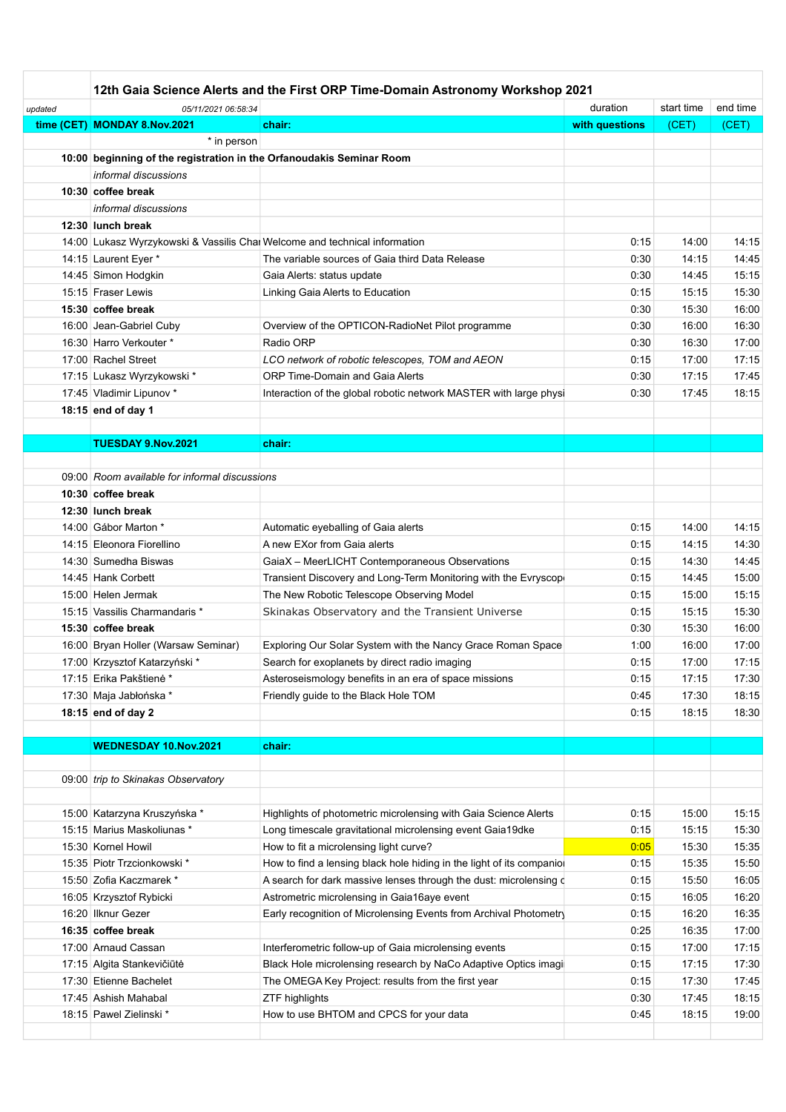|         | 12th Gaia Science Alerts and the First ORP Time-Domain Astronomy Workshop 2021 |                                                                      |                |            |          |  |  |  |
|---------|--------------------------------------------------------------------------------|----------------------------------------------------------------------|----------------|------------|----------|--|--|--|
| updated | 05/11/2021 06:58:34                                                            |                                                                      | duration       | start time | end time |  |  |  |
|         | time (CET) MONDAY 8.Nov.2021                                                   | chair:                                                               | with questions | (CET)      | (CET)    |  |  |  |
|         | * in person                                                                    |                                                                      |                |            |          |  |  |  |
|         | 10:00 beginning of the registration in the Orfanoudakis Seminar Room           |                                                                      |                |            |          |  |  |  |
|         | informal discussions                                                           |                                                                      |                |            |          |  |  |  |
|         | 10:30 coffee break                                                             |                                                                      |                |            |          |  |  |  |
|         | informal discussions                                                           |                                                                      |                |            |          |  |  |  |
|         | 12:30 lunch break                                                              |                                                                      |                |            |          |  |  |  |
|         | 14:00 Lukasz Wyrzykowski & Vassilis Chai Welcome and technical information     |                                                                      | 0:15           | 14:00      | 14:15    |  |  |  |
|         | 14:15 Laurent Eyer *                                                           | The variable sources of Gaia third Data Release                      | 0:30           | 14:15      | 14:45    |  |  |  |
|         | 14:45 Simon Hodgkin                                                            | Gaia Alerts: status update                                           | 0:30           | 14:45      | 15:15    |  |  |  |
|         | 15:15 Fraser Lewis                                                             | Linking Gaia Alerts to Education                                     | 0:15           | 15:15      | 15:30    |  |  |  |
|         | 15:30 coffee break                                                             |                                                                      | 0:30           | 15:30      | 16:00    |  |  |  |
|         | 16:00 Jean-Gabriel Cuby                                                        | Overview of the OPTICON-RadioNet Pilot programme                     | 0:30           | 16:00      | 16:30    |  |  |  |
|         | 16:30 Harro Verkouter *                                                        | Radio ORP                                                            | 0:30           | 16:30      | 17:00    |  |  |  |
|         | 17:00 Rachel Street                                                            | LCO network of robotic telescopes, TOM and AEON                      | 0:15           | 17:00      | 17:15    |  |  |  |
|         | 17:15 Lukasz Wyrzykowski*                                                      | <b>ORP Time-Domain and Gaia Alerts</b>                               | 0:30           | 17:15      | 17:45    |  |  |  |
|         | 17:45 Vladimir Lipunov *                                                       | Interaction of the global robotic network MASTER with large physi    | 0:30           | 17:45      | 18:15    |  |  |  |
|         | 18:15 end of day 1                                                             |                                                                      |                |            |          |  |  |  |
|         |                                                                                |                                                                      |                |            |          |  |  |  |
|         | TUESDAY 9.Nov.2021                                                             | chair:                                                               |                |            |          |  |  |  |
|         | 09:00 Room available for informal discussions                                  |                                                                      |                |            |          |  |  |  |
|         | 10:30 coffee break                                                             |                                                                      |                |            |          |  |  |  |
|         | 12:30 lunch break                                                              |                                                                      |                |            |          |  |  |  |
|         | 14:00 Gábor Marton *                                                           | Automatic eyeballing of Gaia alerts                                  | 0:15           | 14:00      | 14:15    |  |  |  |
|         | 14:15 Eleonora Fiorellino                                                      | A new EXor from Gaia alerts                                          | 0:15           | 14:15      | 14:30    |  |  |  |
|         | 14:30 Sumedha Biswas                                                           | GaiaX - MeerLICHT Contemporaneous Observations                       | 0:15           | 14:30      | 14:45    |  |  |  |
|         | 14:45 Hank Corbett                                                             | Transient Discovery and Long-Term Monitoring with the Evryscop       | 0:15           | 14:45      | 15:00    |  |  |  |
|         | 15:00 Helen Jermak                                                             | The New Robotic Telescope Observing Model                            | 0:15           | 15:00      | 15:15    |  |  |  |
|         | 15:15 Vassilis Charmandaris *                                                  | Skinakas Observatory and the Transient Universe                      | 0:15           | 15:15      | 15:30    |  |  |  |
|         | 15:30 coffee break                                                             |                                                                      | 0:30           | 15:30      | 16:00    |  |  |  |
|         | 16:00 Bryan Holler (Warsaw Seminar)                                            | Exploring Our Solar System with the Nancy Grace Roman Space          | 1:00           | 16:00      | 17:00    |  |  |  |
|         | 17:00 Krzysztof Katarzyński*                                                   | Search for exoplanets by direct radio imaging                        | 0:15           | 17:00      | 17:15    |  |  |  |
|         | 17:15 Erika Pakštienė*                                                         | Asteroseismology benefits in an era of space missions                | 0:15           | 17:15      | 17:30    |  |  |  |
|         | 17:30 Maja Jabłońska*                                                          | Friendly guide to the Black Hole TOM                                 | 0:45           | 17:30      | 18:15    |  |  |  |
|         | 18:15 end of day 2                                                             |                                                                      | 0:15           | 18:15      | 18:30    |  |  |  |
|         |                                                                                |                                                                      |                |            |          |  |  |  |
|         | <b>WEDNESDAY 10.Nov.2021</b>                                                   | chair:                                                               |                |            |          |  |  |  |
|         |                                                                                |                                                                      |                |            |          |  |  |  |
|         | 09:00 trip to Skinakas Observatory                                             |                                                                      |                |            |          |  |  |  |
|         |                                                                                |                                                                      |                |            |          |  |  |  |
|         | 15:00 Katarzyna Kruszyńska*                                                    | Highlights of photometric microlensing with Gaia Science Alerts      | 0:15           | 15:00      | 15:15    |  |  |  |
|         | 15:15 Marius Maskoliunas *                                                     | Long timescale gravitational microlensing event Gaia19dke            | 0:15           | 15:15      | 15:30    |  |  |  |
|         | 15:30 Kornel Howil                                                             | How to fit a microlensing light curve?                               | 0:05           | 15:30      | 15:35    |  |  |  |
|         | 15:35 Piotr Trzcionkowski *                                                    | How to find a lensing black hole hiding in the light of its companio | 0:15           | 15:35      | 15:50    |  |  |  |
|         | 15:50 Zofia Kaczmarek *                                                        | A search for dark massive lenses through the dust: microlensing d    | 0:15           | 15:50      | 16:05    |  |  |  |
|         | 16:05 Krzysztof Rybicki                                                        | Astrometric microlensing in Gaia16aye event                          | 0:15           | 16:05      | 16:20    |  |  |  |
|         | 16:20 Ilknur Gezer                                                             | Early recognition of Microlensing Events from Archival Photometry    | 0:15           | 16:20      | 16:35    |  |  |  |
|         | 16:35 coffee break                                                             |                                                                      | 0:25           | 16:35      | 17:00    |  |  |  |
|         | 17:00 Arnaud Cassan                                                            | Interferometric follow-up of Gaia microlensing events                | 0:15           | 17:00      | 17:15    |  |  |  |
|         | 17:15 Algita Stankevičiūtė                                                     | Black Hole microlensing research by NaCo Adaptive Optics imagi       | 0:15           | 17:15      | 17:30    |  |  |  |
|         | 17:30 Etienne Bachelet                                                         | The OMEGA Key Project: results from the first year                   | 0:15           | 17:30      | 17:45    |  |  |  |
|         | 17:45 Ashish Mahabal                                                           | ZTF highlights                                                       | 0:30           | 17:45      | 18:15    |  |  |  |
|         | 18:15 Pawel Zielinski *                                                        | How to use BHTOM and CPCS for your data                              | 0:45           | 18:15      | 19:00    |  |  |  |
|         |                                                                                |                                                                      |                |            |          |  |  |  |